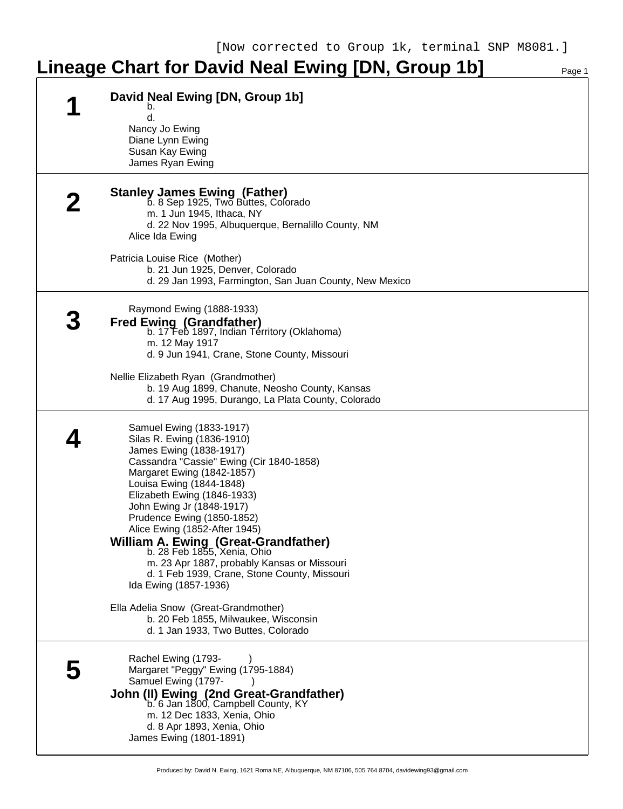## Lineage Chart for David Neal Ewing [DN, Group 1b]

| David Neal Ewing [DN, Group 1b]<br>b.<br>d.<br>Nancy Jo Ewing<br>Diane Lynn Ewing<br>Susan Kay Ewing<br>James Ryan Ewing                                                                                                                                                                                                                                                                                                                                                                                                                                                                                                                 |
|------------------------------------------------------------------------------------------------------------------------------------------------------------------------------------------------------------------------------------------------------------------------------------------------------------------------------------------------------------------------------------------------------------------------------------------------------------------------------------------------------------------------------------------------------------------------------------------------------------------------------------------|
| <b>Stanley James Ewing (Father)</b><br>b. 8 Sep 1925, Two Buttes, Colorado<br>m. 1 Jun 1945, Ithaca, NY<br>d. 22 Nov 1995, Albuquerque, Bernalillo County, NM<br>Alice Ida Ewing<br>Patricia Louise Rice (Mother)<br>b. 21 Jun 1925, Denver, Colorado<br>d. 29 Jan 1993, Farmington, San Juan County, New Mexico                                                                                                                                                                                                                                                                                                                         |
| Raymond Ewing (1888-1933)<br><b>Fred Ewing (Grandfather)</b><br>b. 17 Feb 1897, Indian Territory (Oklahoma)<br>m. 12 May 1917<br>d. 9 Jun 1941, Crane, Stone County, Missouri<br>Nellie Elizabeth Ryan (Grandmother)<br>b. 19 Aug 1899, Chanute, Neosho County, Kansas<br>d. 17 Aug 1995, Durango, La Plata County, Colorado                                                                                                                                                                                                                                                                                                             |
| Samuel Ewing (1833-1917)<br>Silas R. Ewing (1836-1910)<br>James Ewing (1838-1917)<br>Cassandra "Cassie" Ewing (Cir 1840-1858)<br>Margaret Ewing (1842-1857)<br>Louisa Ewing (1844-1848)<br>Elizabeth Ewing (1846-1933)<br>John Ewing Jr (1848-1917)<br>Prudence Ewing (1850-1852)<br>Alice Ewing (1852-After 1945)<br>William A. Ewing (Great-Grandfather)<br>b. 28 Feb 1855, Xenia, Ohio<br>m. 23 Apr 1887, probably Kansas or Missouri<br>d. 1 Feb 1939, Crane, Stone County, Missouri<br>Ida Ewing (1857-1936)<br>Ella Adelia Snow (Great-Grandmother)<br>b. 20 Feb 1855, Milwaukee, Wisconsin<br>d. 1 Jan 1933, Two Buttes, Colorado |
| Rachel Ewing (1793-<br>Margaret "Peggy" Ewing (1795-1884)<br>Samuel Ewing (1797-<br>John (II) Ewing (2nd Great-Grandfather)<br>b. 6 Jan 1800, Campbell County, KY<br>m. 12 Dec 1833, Xenia, Ohio<br>d. 8 Apr 1893, Xenia, Ohio<br>James Ewing (1801-1891)                                                                                                                                                                                                                                                                                                                                                                                |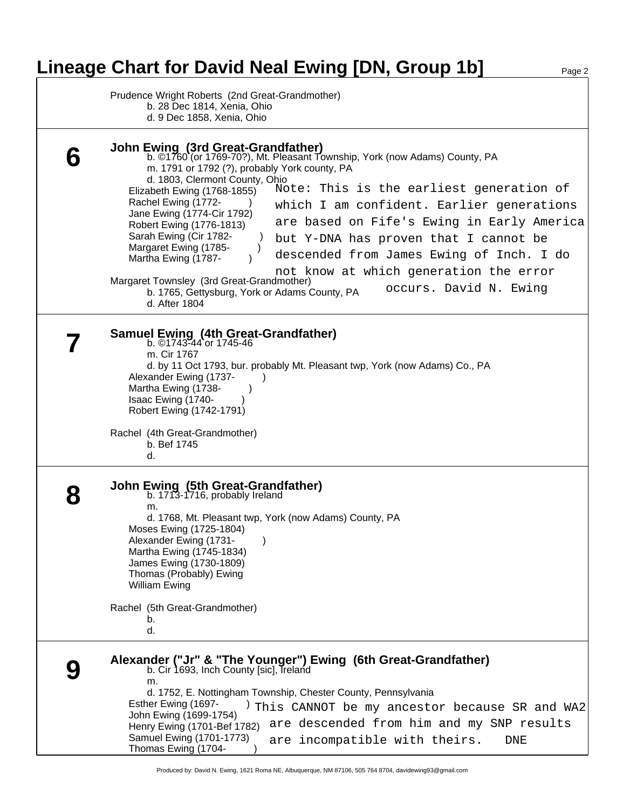## Lineage Chart for David Neal Ewing [DN, Group 1b] Page 2

Prudence Wright Roberts (2nd Great-Grandmother) b. 28 Dec 1814, Xenia, Ohio d. 9 Dec 1858, Xenia, Ohio **John Ewing (3rd Great-Grandfather)** b. ©1760 (or 1769-70?), Mt. Pleasant Township, York (now Adams) County, PA m. 1791 or 1792 (?), probably York county, PA d. 1803, Clermont County, Ohio Elizabeth Ewing (1768-1855)

**6**

Rachel Ewing (1772-Jane Ewing (1774-Cir 1792) Robert Ewing (1776-1813) Sarah Ewing (Cir 1782-Margaret Ewing (1785-Martha Ewing (1787-Margaret Townsley (3rd Great-Grandmother) b. 1765, Gettysburg, York or Adams County, PA d. After 1804 **7 Samuel Ewing (4th Great-Grandfather)** b. ©1743-44 or 1745-46 m. Cir 1767 d. by 11 Oct 1793, bur. probably Mt. Pleasant twp, York (now Adams) Co., PA Alexander Ewing (1737- ) Martha Ewing (1738-Isaac Ewing (1740-Robert Ewing (1742-1791) Rachel (4th Great-Grandmother) b. Bef 1745 d. **8 John Ewing (5th Great-Grandfather)** b. 1713-1716, probably Ireland m. d. 1768, Mt. Pleasant twp, York (now Adams) County, PA Moses Ewing (1725-1804) Alexander Ewing (1731-Martha Ewing (1745-1834) James Ewing (1730-1809) Thomas (Probably) Ewing William Ewing Rachel (5th Great-Grandmother) b. d. **9 Alexander ("Jr" & "The Younger") Ewing (6th Great-Grandfather)** b. Cir 1693, Inch County [sic], Treland m. d. 1752, E. Nottingham Township, Chester County, Pennsylvania Esther Ewing (1697-John Ewing (1699-1754) Henry Ewing (1701-Bef 1782) are descended from him and my SNP results Samuel Ewing (1701-1773) Thomas Ewing (1704- ) Note: This is the earliest generation of which I am confident. Earlier generations are based on Fife's Ewing in Early America but Y-DNA has proven that I cannot be descended from James Ewing of Inch. I do not know at which generation the error occurs. David N. Ewing This CANNOT be my ancestor because SR and WA2 are incompatible with theirs. DNE

Produced by: David N. Ewing, 1621 Roma NE, Albuquerque, NM 87106, 505 764 8704, davidewing93@gmail.com